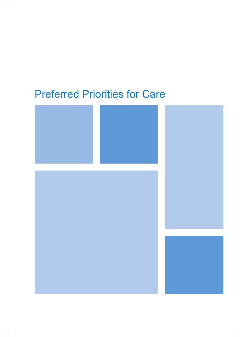# Preferred Priorities for Care

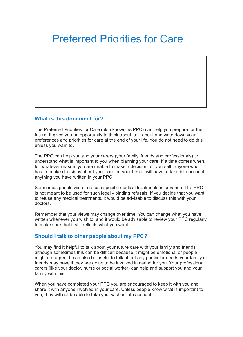# Preferred Priorities for Care

### **What is this document for?**

The Preferred Priorities for Care (also known as PPC) can help you prepare for the future. It gives you an opportunity to think about, talk about and write down your preferences and priorities for care at the end of your life. You do not need to do this unless you want to.

The PPC can help you and your carers (your family, friends and professionals) to understand what is important to you when planning your care. If a time comes when, for whatever reason, you are unable to make a decision for yourself, anyone who has to make decisions about your care on your behalf will have to take into account anything you have written in your PPC.

Sometimes people wish to refuse specific medical treatments in advance. The PPC is not meant to be used for such legally binding refusals. If you decide that you want to refuse any medical treatments, it would be advisable to discuss this with your doctors.

Remember that your views may change over time. You can change what you have written whenever you wish to, and it would be advisable to review your PPC regularly to make sure that it still reflects what you want.

### **Should I talk to other people about my PPC?**

You may find it helpful to talk about your future care with your family and friends, although sometimes this can be difficult because it might be emotional or people might not agree. It can also be useful to talk about any particular needs your family or friends may have if they are going to be involved in caring for you. Your professional carers (like your doctor, nurse or social worker) can help and support you and your family with this.

When you have completed your PPC you are encouraged to keep it with you and share it with anyone involved in your care. Unless people know what is important to you, they will not be able to take your wishes into account.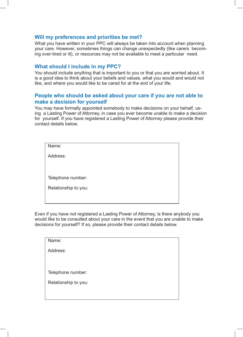### **Will my preferences and priorities be met?**

What you have written in your PPC will always be taken into account when planning your care. However, sometimes things can change unexpectedly (like carers becoming over-tired or ill), or resources may not be available to meet a particular need.

### **What should I include in my PPC?**

You should include anything that is important to you or that you are worried about. It is a good idea to think about your beliefs and values, what you would and would not like, and where you would like to be cared for at the end of your life.

### **People who should be asked about your care if you are not able to make a decision for yourself**

You may have formally appointed somebody to make decisions on your behalf, using a Lasting Power of Attorney, in case you ever become unable to make a decision for yourself. If you have registered a Lasting Power of Attorney please provide their contact details below.

| Name:                |  |
|----------------------|--|
| Address:             |  |
|                      |  |
|                      |  |
| Telephone number:    |  |
| Relationship to you: |  |
|                      |  |
|                      |  |

Even if you have not registered a Lasting Power of Attorney, is there anybody you would like to be consulted about your care in the event that you are unable to make decisions for yourself? If so, please provide their contact details below.

| Name:                |  |
|----------------------|--|
| Address:             |  |
|                      |  |
| Telephone number:    |  |
| Relationship to you: |  |
|                      |  |
|                      |  |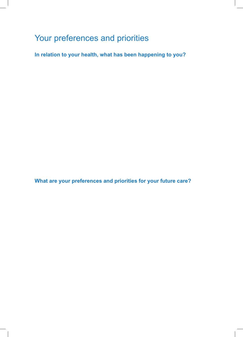# Your preferences and priorities

**In relation to your health, what has been happening to you?** 

**What are your preferences and priorities for your future care?**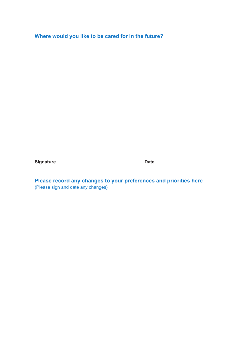## **Where would you like to be cared for in the future?**

**Signature Date Date** 

**Please record any changes to your preferences and priorities here**  (Please sign and date any changes)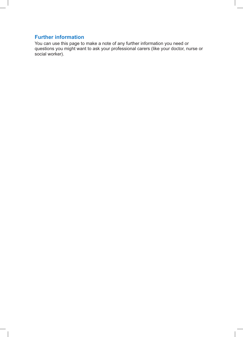### **Further information**

You can use this page to make a note of any further information you need or questions you might want to ask your professional carers (like your doctor, nurse or social worker).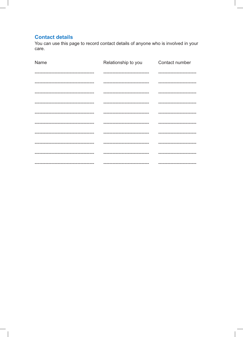## **Contact details**

You can use this page to record contact details of anyone who is involved in your care.

| Name                                | Relationship to you              | Contact number              |
|-------------------------------------|----------------------------------|-----------------------------|
|                                     |                                  |                             |
|                                     |                                  | --------------------------  |
|                                     | -------------------------------  | --------------------------  |
| ----------------------------------- | -------------------------------- | --------------------------  |
|                                     | -------------------------------- | --------------------------- |
|                                     |                                  | --------------------------  |
|                                     | -------------------------------  | --------------------------  |
|                                     |                                  | --------------------------  |
|                                     |                                  |                             |
|                                     | ------------------------------   | --------------------------  |